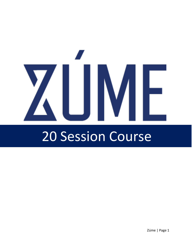# ZUME

# 20 Session Course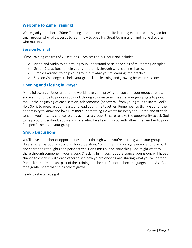# **Welcome to Zúme Training!**

We're glad you're here! Zúme Training is an on-line and in-life learning experience designed for small groups who follow Jesus to learn how to obey His Great Commission and make disciples who multiply.

#### **Session Format**

Zúme Training consists of 20 sessions. Each session is 1 hour and includes:

- o Video and Audio to help your group understand basic principles of multiplying disciples.
- o Group Discussions to help your group think through what's being shared.
- o Simple Exercises to help your group put what you're learning into practice.
- o Session Challenges to help your group keep learning and growing between sessions.

#### **Opening and Closing in Prayer**

Many followers of Jesus around the world have been praying for you and your group already, and we'll continue to pray as you work through this material. Be sure your group gets to pray, too. At the beginning of each session, ask someone [or several] from your group to invite God's Holy Spirit to prepare your hearts and lead your time together. Remember to thank God for the opportunity to know and love Him more - something He wants for everyone! At the end of each session, you'll have a chance to pray again as a group. Be sure to take the opportunity to ask God to help you understand, apply and share what He's teaching you with others. Remember to pray for specific needs in your group.

#### **Group Discussions**

You'll have a number of opportunities to talk through what you're learning with your group. Unless noted, Group Discussions should be about 10 minutes. Encourage everyone to take part and share their thoughts and perspectives. Don't miss out on something God might want to share through someone in your group. Checking In Throughout the course your group will have a chance to check-in with each other to see how you're obeying and sharing what you've learned. Don't skip this important part of the training, but be careful not to become judgmental. Ask God for a gentle heart that helps others grow!

Ready to start? Let's go!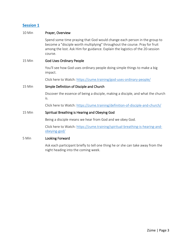#### 10 Min **Prayer, Overview**

 Spend some time praying that God would change each person in the group to become a "disciple worth multiplying" throughout the course. Pray for fruit among the lost. Ask Him for guidance. Explain the logistics of the 20-session course.

#### 15 Min God Uses Ordinary People

You'll see how God uses ordinary people doing simple things to make a big impact.

Click here to Watch:<https://zume.training/god-uses-ordinary-people/>

#### 15 Min Simple Definition of Disciple and Church

Discover the essence of being a disciple, making a disciple, and what the church is.

Click here to Watch:<https://zume.training/definition-of-disciple-and-church/>

#### 15 Min Spiritual Breathing is Hearing and Obeying God

Being a disciple means we hear from God and we obey God.

Click here to Watch: [https://zume.training/spiritual-breathing-is-hearing-and](https://zume.training/spiritual-breathing-is-hearing-and-obeying-god/)[obeying-god/](https://zume.training/spiritual-breathing-is-hearing-and-obeying-god/) 

#### 5 Min Looking Forward

 Ask each participant briefly to tell one thing he or she can take away from the night heading into the coming week.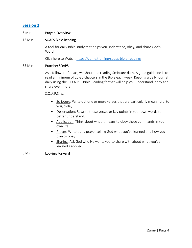#### 5 Min Prayer, Overview

#### 15 Min SOAPS Bible Reading

A tool for daily Bible study that helps you understand, obey, and share God's Word.

Click here to Watch:<https://zume.training/soaps-bible-reading/>

#### 35 Min Practice: SOAPS

As a follower of Jesus, we should be reading Scripture daily. A good guideline is to read a minimum of 25-30 chapters in the Bible each week. Keeping a daily journal daily using the S.O.A.P.S. Bible Reading format will help you understand, obey and share even more.

S.O.A.P.S. is:

- Scripture: Write out one or more verses that are particularly meaningful to you, today.
- Observation: Rewrite those verses or key points in your own words to better understand.
- Application: Think about what it means to obey these commands in your own life.
- Prayer: Write out a prayer telling God what you've learned and how you plan to obey.
- Sharing: Ask God who He wants you to share with about what you've learned / applied.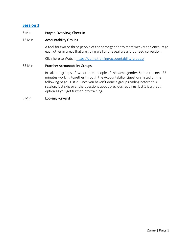#### 5 Min Prayer, Overview, Check-In

#### 15 Min Accountability Groups

A tool for two or three people of the same gender to meet weekly and encourage each other in areas that are going well and reveal areas that need correction.

Click here to Watch:<https://zume.training/accountability-groups/>

#### 35 Min Practice: Accountability Groups

Break into groups of two or three people of the same gender. Spend the next 35 minutes working together through the Accountability Questions listed on the following page - List 2. Since you haven't done a group reading before this session, just skip over the questions about previous readings. List 1 is a great option as you get further into training.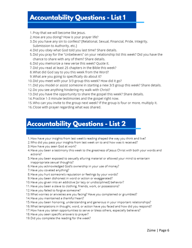# **Accountability Questions - List 1**

- 1. Pray that we will become like Jesus.
- 2. How are you doing? How is your prayer life?
- 3. Do you have any sin to confess? [Relational, Sexual, Financial, Pride, Integrity, Submission to Authority, etc.]
- 4. Did you obey what God told you last time? Share details.
- 5. Did you pray for the "Unbelievers" on your relationship list this week? Did you have the chance to share with any of them? Share details.
- 6. Did you memorize a new verse this week? Quote it.
- 7. Did you read at least 25 chapters in the Bible this week?
- 8. What did God say to you this week from the Word?
- 9. What are you going to specifically do about it?
- 10. Did you meet with your 3/3 group this week? How did it go?
- 11. Did you model or assist someone in starting a new 3/3 group this week? Share details.
- 12. Do you see anything hindering my walk with Christ?
- 13. Did you have the opportunity to share the gospel this week? Share details.
- 14. Practice 1-3 minute testimonies and the gospel right now.
- 15. Who can you invite to the group next week? If the group is four or more, multiply it.
- 16. Close with prayer regarding what was shared.

# **Accountability Questions - List 2**

- 1. How have your insights from last week's reading shaped the way you think and live?
- 2. Who did you pass your insights from last week on to and how was it received?
- 3. How have you seen God at work?
- 4. Have you been a testimony this week to the greatness of Jesus Christ with both your words and actions?
- 5. Have you been exposed to sexually alluring material or allowed your mind to entertain inappropriate sexual thoughts?
- 6. Have you acknowledged God's ownership in your use of money?
- 7. Have you coveted anything?
- 8. Have you hurt someone's reputation or feelings by your words?
- 9. Have you been dishonest in word or action or exaggerated?
- 10. Have you given into an addictive [or lazy or undisciplined] behavior?
- 11. Have you been a slave to clothing, friends, work, or possessions?
- 12. Have you failed to forgive someone?
- 13. What worries or anxieties are you facing? Have you complained or grumbled?
- 14. Have you maintained a thankful heart?
- 15. Have you been honoring, understanding and generous in your important relationships?
- 16. What temptations in thought, word, or action have you faced and how did you respond?
- 17. How have you taken opportunities to serve or bless others, especially believers?
- 18. Have you seen specific answers to prayer?
- 19. Did you complete the reading for the week?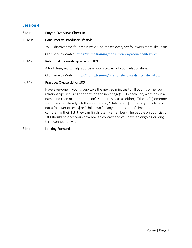| 5 Min  | Prayer, Overview, Check-In                                                                                                                                                                                                                                                                                                                                                                                                                                                                                                                                                                     |  |  |
|--------|------------------------------------------------------------------------------------------------------------------------------------------------------------------------------------------------------------------------------------------------------------------------------------------------------------------------------------------------------------------------------------------------------------------------------------------------------------------------------------------------------------------------------------------------------------------------------------------------|--|--|
| 15 Min | Consumer vs. Producer Lifestyle                                                                                                                                                                                                                                                                                                                                                                                                                                                                                                                                                                |  |  |
|        | You'll discover the four main ways God makes everyday followers more like Jesus.                                                                                                                                                                                                                                                                                                                                                                                                                                                                                                               |  |  |
|        | Click here to Watch: https://zume.training/consumer-vs-producer-lifestyle/                                                                                                                                                                                                                                                                                                                                                                                                                                                                                                                     |  |  |
| 15 Min | Relational Stewardship – List of 100                                                                                                                                                                                                                                                                                                                                                                                                                                                                                                                                                           |  |  |
|        | A tool designed to help you be a good steward of your relationships.                                                                                                                                                                                                                                                                                                                                                                                                                                                                                                                           |  |  |
|        | Click here to Watch: https://zume.training/relational-stewardship-list-of-100/                                                                                                                                                                                                                                                                                                                                                                                                                                                                                                                 |  |  |
| 20 Min | Practice: Create List of 100                                                                                                                                                                                                                                                                                                                                                                                                                                                                                                                                                                   |  |  |
|        | Have everyone in your group take the next 20 minutes to fill out his or her own<br>relationships list using the form on the next page(s). On each line, write down a<br>name and then mark that person's spiritual status as either, "Disciple" [someone<br>you believe is already a follower of Jesus], "Unbeliever [someone you believe is<br>not a follower of Jesus] or "Unknown." If anyone runs out of time before<br>completing their list, they can finish later. Remember - The people on your List of<br>100 should be ones you know how to contact and you have an ongoing or long- |  |  |

# 5 Min Looking Forward

term connection with.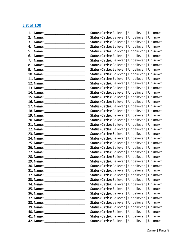# **List of 100**

| 1. |                                     | Status (Circle): Believer   Unbeliever   Unknown |  |
|----|-------------------------------------|--------------------------------------------------|--|
| 2. |                                     | Status (Circle): Believer   Unbeliever   Unknown |  |
| 3. |                                     | Status (Circle): Believer   Unbeliever   Unknown |  |
| 4. | Name: __________________________    | Status (Circle): Believer   Unbeliever   Unknown |  |
| 5. | Name: _________________________     | Status (Circle): Believer   Unbeliever   Unknown |  |
| 6. |                                     | Status (Circle): Believer   Unbeliever   Unknown |  |
| 7. |                                     | Status (Circle): Believer   Unbeliever   Unknown |  |
| 8. |                                     | Status (Circle): Believer   Unbeliever   Unknown |  |
| 9. |                                     | Status (Circle): Believer   Unbeliever   Unknown |  |
|    |                                     | Status (Circle): Believer   Unbeliever   Unknown |  |
|    |                                     | Status (Circle): Believer   Unbeliever   Unknown |  |
|    |                                     | Status (Circle): Believer   Unbeliever   Unknown |  |
|    |                                     | Status (Circle): Believer   Unbeliever   Unknown |  |
|    |                                     | Status (Circle): Believer   Unbeliever   Unknown |  |
|    |                                     | Status (Circle): Believer   Unbeliever   Unknown |  |
|    |                                     | Status (Circle): Believer   Unbeliever   Unknown |  |
|    |                                     | Status (Circle): Believer   Unbeliever   Unknown |  |
|    |                                     | Status (Circle): Believer   Unbeliever   Unknown |  |
|    |                                     | Status (Circle): Believer   Unbeliever   Unknown |  |
|    |                                     | Status (Circle): Believer   Unbeliever   Unknown |  |
|    |                                     | Status (Circle): Believer   Unbeliever   Unknown |  |
|    |                                     | Status (Circle): Believer   Unbeliever   Unknown |  |
|    |                                     | Status (Circle): Believer   Unbeliever   Unknown |  |
|    |                                     | Status (Circle): Believer   Unbeliever   Unknown |  |
|    |                                     | Status (Circle): Believer   Unbeliever   Unknown |  |
|    |                                     | Status (Circle): Believer   Unbeliever   Unknown |  |
|    |                                     | Status (Circle): Believer   Unbeliever   Unknown |  |
|    |                                     | Status (Circle): Believer   Unbeliever   Unknown |  |
|    |                                     | Status (Circle): Believer   Unbeliever   Unknown |  |
|    |                                     | Status (Circle): Believer   Unbeliever   Unknown |  |
|    | 31. Name:                           | Status (Circle): Believer   Unbeliever   Unknown |  |
|    |                                     | Status (Circle): Believer   Unbeliever   Unknown |  |
|    |                                     | Status (Circle): Believer   Unbeliever   Unknown |  |
|    | 34. Name: _________________________ | Status (Circle): Believer   Unbeliever   Unknown |  |
|    |                                     | Status (Circle): Believer   Unbeliever   Unknown |  |
|    |                                     | Status (Circle): Believer   Unbeliever   Unknown |  |
|    |                                     | Status (Circle): Believer   Unbeliever   Unknown |  |
|    |                                     | Status (Circle): Believer   Unbeliever   Unknown |  |
|    |                                     | Status (Circle): Believer   Unbeliever   Unknown |  |
|    |                                     | Status (Circle): Believer   Unbeliever   Unknown |  |
|    |                                     | Status (Circle): Believer   Unbeliever   Unknown |  |
|    |                                     | Status (Circle): Believer   Unbeliever   Unknown |  |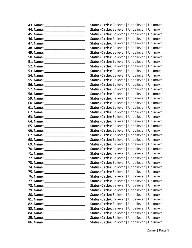|           | Status (Circle): Believer   Unbeliever   Unknown |
|-----------|--------------------------------------------------|
|           | Status (Circle): Believer   Unbeliever   Unknown |
|           | Status (Circle): Believer   Unbeliever   Unknown |
|           | Status (Circle): Believer   Unbeliever   Unknown |
|           | Status (Circle): Believer   Unbeliever   Unknown |
|           | Status (Circle): Believer   Unbeliever   Unknown |
|           | Status (Circle): Believer   Unbeliever   Unknown |
|           | Status (Circle): Believer   Unbeliever   Unknown |
|           | Status (Circle): Believer   Unbeliever   Unknown |
|           | Status (Circle): Believer   Unbeliever   Unknown |
|           | Status (Circle): Believer   Unbeliever   Unknown |
|           | Status (Circle): Believer   Unbeliever   Unknown |
|           | Status (Circle): Believer   Unbeliever   Unknown |
|           | Status (Circle): Believer   Unbeliever   Unknown |
|           | Status (Circle): Believer   Unbeliever   Unknown |
|           | Status (Circle): Believer   Unbeliever   Unknown |
|           | Status (Circle): Believer   Unbeliever   Unknown |
|           | Status (Circle): Believer   Unbeliever   Unknown |
|           | Status (Circle): Believer   Unbeliever   Unknown |
|           | Status (Circle): Believer   Unbeliever   Unknown |
|           | Status (Circle): Believer   Unbeliever   Unknown |
|           | Status (Circle): Believer   Unbeliever   Unknown |
|           | Status (Circle): Believer   Unbeliever   Unknown |
|           | Status (Circle): Believer   Unbeliever   Unknown |
|           | Status (Circle): Believer   Unbeliever   Unknown |
|           | Status (Circle): Believer   Unbeliever   Unknown |
|           | Status (Circle): Believer   Unbeliever   Unknown |
|           | Status (Circle): Believer   Unbeliever   Unknown |
|           | Status (Circle): Believer   Unbeliever   Unknown |
|           | Status (Circle): Believer   Unbeliever   Unknown |
| 73. Name: | Status (Circle): Believer   Unbeliever   Unknown |
|           | Status (Circle): Believer   Unbeliever   Unknown |
|           | Status (Circle): Believer   Unbeliever   Unknown |
|           | Status (Circle): Believer   Unbeliever   Unknown |
|           | Status (Circle): Believer   Unbeliever   Unknown |
|           | Status (Circle): Believer   Unbeliever   Unknown |
|           | Status (Circle): Believer   Unbeliever   Unknown |
|           | Status (Circle): Believer   Unbeliever   Unknown |
|           | Status (Circle): Believer   Unbeliever   Unknown |
|           | Status (Circle): Believer   Unbeliever   Unknown |
|           | Status (Circle): Believer   Unbeliever   Unknown |
|           | Status (Circle): Believer   Unbeliever   Unknown |
|           | Status (Circle): Believer   Unbeliever   Unknown |
|           | Status (Circle): Believer   Unbeliever   Unknown |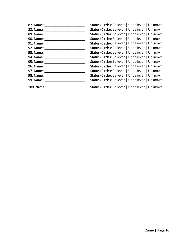| 87. Name:                  | Status (Circle): Believer   Unbeliever   Unknown |
|----------------------------|--------------------------------------------------|
| 88. Name:                  | Status (Circle): Believer   Unbeliever   Unknown |
| 89. Name:                  | Status (Circle): Believer   Unbeliever   Unknown |
| 90. Name:                  | Status (Circle): Believer   Unbeliever   Unknown |
| 91. Name:                  | Status (Circle): Believer   Unbeliever   Unknown |
| 92. Name:                  | Status (Circle): Believer   Unbeliever   Unknown |
| 93. Name: _________        | Status (Circle): Believer   Unbeliever   Unknown |
| 94. Name: ___________      | Status (Circle): Believer   Unbeliever   Unknown |
| 95. Name: ________________ | Status (Circle): Believer   Unbeliever   Unknown |
| 96. Name:                  | Status (Circle): Believer   Unbeliever   Unknown |
| 97. Name:                  | Status (Circle): Believer   Unbeliever   Unknown |
| 98. Name: _____________    | Status (Circle): Believer   Unbeliever   Unknown |
| 99. Name:                  | Status (Circle): Believer   Unbeliever   Unknown |
| 100. Name:                 | Status (Circle): Believer   Unbeliever   Unknown |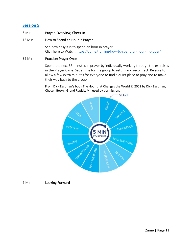#### 5 Min Prayer, Overview, Check-In

#### 15 Min **How to Spend an Hour in Prayer**

See how easy it is to spend an hour in prayer. Click here to Watch:<https://zume.training/how-to-spend-an-hour-in-prayer/>

#### 35 Min Practice: Prayer Cycle

Spend the next 35 minutes in prayer by individually working through the exercises in the Prayer Cycle. Set a time for the group to return and reconnect. Be sure to allow a few extra minutes for everyone to find a quiet place to pray and to make their way back to the group.

From Dick Eastman's book The Hour that Changes the World © 2002 by Dick Eastman, Chosen Books, Grand Rapids, MI, used by permission.

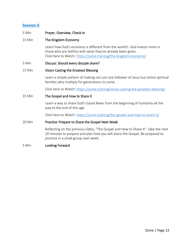| 5 Min | Prayer, Overview, Check-In |
|-------|----------------------------|
|-------|----------------------------|

#### 15 Min The Kingdom Economy

Learn how God's economy is different from the world's. God invests more in those who are faithful with what they've already been given. Click here to Watch:<https://zume.training/the-kingdom-economy/>

#### 5 Min Discuss: Should every disciple share?

#### 15 Min Vision Casting the Greatest Blessing

Learn a simple pattern of making not just one follower of Jesus but entire spiritual families who multiply for generations to come.

Click here to Watch:<https://zume.training/vision-casting-the-greatest-blessing/>

15 Min The Gospel and How to Share It

Learn a way to share God's Good News from the beginning of humanity all the way to the end of this age.

Click here to Watch: https://zume.training/the-gospel-and-how-to-share-it/

#### 20 Min Practice: Prepare to Share the Gospel Next Week

Reflecting on the previous video, "The Gospel and How to Share It", take the next 20 minutes to prepare and plan how you will share the Gospel. Be prepared to practice in a small group next week.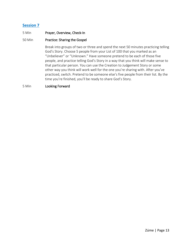#### 5 Min Prayer, Overview, Check-In

#### 50 Min Practice: Sharing the Gospel

Break into groups of two or three and spend the next 50 minutes practicing telling God's Story. Choose 5 people from your List of 100 that you marked as an "Unbeliever" or "Unknown." Have someone pretend to be each of those five people, and practice telling God's Story in a way that you think will make sense to that particular person. You can use the Creation to Judgement Story or some other way you think will work well for the one you're sharing with. After you've practiced, switch. Pretend to be someone else's five people from their list. By the time you're finished, you'll be ready to share God's Story.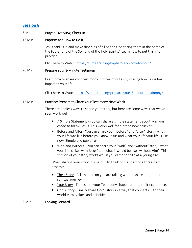#### 5 Min Prayer, Overview, Check-In

#### 15 Min Baptism and How to Do It

Jesus said, "Go and make disciples of all nations, baptizing them in the name of the Father and of the Son and of the Holy Spirit…" Learn how to put this into practice.

Click here to Watch:<https://zume.training/baptism-and-how-to-do-it/>

#### 20 Min Prepare Your 3-Minute Testimony

Learn how to share your testimony in three minutes by sharing how Jesus has impacted your life.

Click here to Watch:<https://zume.training/prepare-your-3-minute-testimony/>

#### 15 Min Practice: Prepare to Share Your Testimony Next Week

There are endless ways to shape your story, but here are some ways that we've seen work well:

- A Simple Statement You can share a simple statement about why you chose to follow Jesus. This works well for a brand new believer.
- Before and After You can share your "before" and "after" story what your life was like before you knew Jesus and what your life your life is like now. Simple and powerful.
- With and Without You can share your "with" and "without" story what your life is like "with Jesus" and what it would be like "without Him". This version of your story works well if you came to faith at a young age.

When sharing your story, it's helpful to think of it as part of a three-part process:

- Their Story Ask the person you are talking with to share about their spiritual journey.
- Your Story Then share your Testimony shaped around their experience.
- God's Story Finally share God's story in a way that connects with their world-view, values and priorities.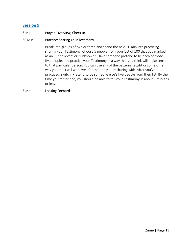#### 5 Min Prayer, Overview, Check-In

#### 50 Min Practice: Sharing Your Testimony

Break into groups of two or three and spend the next 50 minutes practicing sharing your Testimony. Choose 5 people from your List of 100 that you marked as an "Unbeliever" or "Unknown." Have someone pretend to be each of those five people, and practice your Testimony in a way that you think will make sense to that particular person. You can use any of the patterns taught or some other way you think will work well for the one you're sharing with. After you've practiced, switch. Pretend to be someone else's five people from their list. By the time you're finished, you should be able to tell your Testimony in about 3 minutes or less.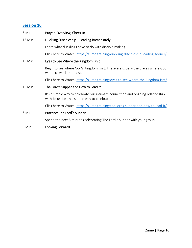| 5 Min  | Prayer, Overview, Check-In                                                                                                      |
|--------|---------------------------------------------------------------------------------------------------------------------------------|
| 15 Min | Duckling Discipleship - Leading Immediately                                                                                     |
|        | Learn what ducklings have to do with disciple making.                                                                           |
|        | Click here to Watch: https://zume.training/duckling-discipleship-leading-sooner/                                                |
| 15 Min | Eyes to See Where the Kingdom Isn't                                                                                             |
|        | Begin to see where God's Kingdom isn't. These are usually the places where God<br>wants to work the most.                       |
|        | Click here to Watch: https://zume.training/eyes-to-see-where-the-kingdom-isnt/                                                  |
| 15 Min | The Lord's Supper and How to Lead It                                                                                            |
|        | It's a simple way to celebrate our intimate connection and ongoing relationship<br>with Jesus. Learn a simple way to celebrate. |
|        | Click here to Watch: https://zume.training/the-lords-supper-and-how-to-lead-it/                                                 |
| 5 Min  | Practice: The Lord's Supper                                                                                                     |
|        | Spend the next 5 minutes celebrating The Lord's Supper with your group.                                                         |
| 5 Min  | Looking Forward                                                                                                                 |
|        |                                                                                                                                 |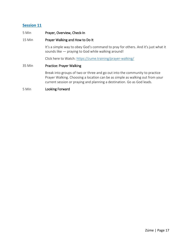#### 5 Min Prayer, Overview, Check-In

#### 15 Min Prayer Walking and How to Do It

It's a simple way to obey God's command to pray for others. And it's just what it sounds like — praying to God while walking around!

Click here to Watch:<https://zume.training/prayer-walking/>

#### 35 Min Practice: Prayer Walking

Break into groups of two or three and go out into the community to practice Prayer Walking. Choosing a location can be as simple as walking out from your current session or praying and planning a destination. Go as God leads.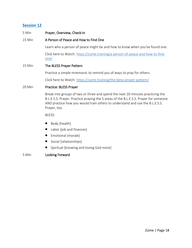| 5 Min  | Prayer, Overview, Check-In                                                            |
|--------|---------------------------------------------------------------------------------------|
| 15 Min | A Person of Peace and How to Find One                                                 |
|        | Learn who a person of peace might be and how to know when you've found one.           |
|        | Click here to Watch: https://zume.training/a-person-of-peace-and-how-to-find-<br>one/ |
| 15 Min | The BLESS Prayer Pattern                                                              |
|        | Practice a simple mnemonic to remind you of ways to pray for others.                  |
|        | Click here to Watch: https://zume.training/the-bless-prayer-pattern/                  |
| 20 Min | Practice: BLESS Prayer                                                                |
|        |                                                                                       |

Break into groups of two or three and spend the next 20 minutes practicing the B.L.E.S.S. Prayer. Practice praying the 5 areas of the B.L.E.S.S. Prayer for someone AND practice how you would train others to understand and use the B.L.E.S.S. Prayer, too.

BLESS:

- Body [health]
- Labor [job and finances]
- Emotional [morale]
- Social [relationships]
- Spiritual [knowing and loving God more]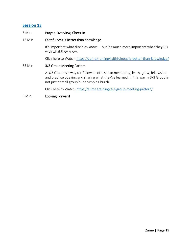| 5 Min | Prayer, Overview, Check-In |
|-------|----------------------------|
|-------|----------------------------|

#### 15 Min Faithfulness is Better than Knowledge

It's important what disciples know — but it's much more important what they DO with what they know.

Click here to Watch:<https://zume.training/faithfulness-is-better-than-knowledge/>

#### 35 Min 3/3 Group Meeting Pattern

A 3/3 Group is a way for followers of Jesus to meet, pray, learn, grow, fellowship and practice obeying and sharing what they've learned. In this way, a 3/3 Group is not just a small group but a Simple Church.

Click here to Watch:<https://zume.training/3-3-group-meeting-pattern/>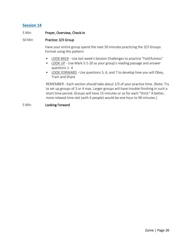#### 5 Min Prayer, Overview, Check-In

#### 50 Min Practice: 3/3 Group

Have your entire group spend the next 50 minutes practicing the 3/3 Groups Format using this pattern:

- LOOK BACK Use last week's Session Challenges to practice "Faithfulness"
- LOOK UP Use Mark 5:1-20 as your group's reading passage and answer questions 1- 4
- LOOK FORWARD Use questions 5, 6, and 7 to develop how you will Obey, Train and Share

REMEMBER - Each section should take about 1/3 of your practice time. (Note: Try to set up groups of 3 or 4 max. Larger groups will have trouble finishing in such a short time period. Groups will have 15 minutes or so for each "third." A better, more relaxed time slot (with 4 people) would be one hour to 90 minutes.)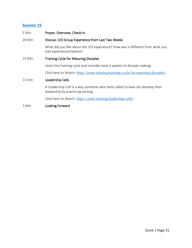| 5 Min  | Prayer, Overview, Check-In                                                                                         |  |  |
|--------|--------------------------------------------------------------------------------------------------------------------|--|--|
| 20 Min | Discuss: 3/3 Group Experience from Last Two Weeks                                                                  |  |  |
|        | What did you like about the 3/3 experience? How was it different from what you<br>had experienced before?          |  |  |
| 15 Min | <b>Training Cycle for Maturing Disciples</b>                                                                       |  |  |
|        | Learn the training cycle and consider how it applies to disciple making.                                           |  |  |
|        | Click here to Watch: https://zume.training/training-cycle-for-maturing-disciples/                                  |  |  |
| 15 min | Leadership Cells                                                                                                   |  |  |
|        | A Leadership Cell is a way someone who feels called to lead can develop their<br>leadership by practicing serving. |  |  |
|        | Click here to Watch: https://zume.training/leadership-cells/                                                       |  |  |
|        |                                                                                                                    |  |  |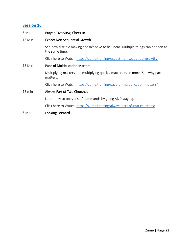| 5 Min  | Prayer, Overview, Check-In                                                                         |
|--------|----------------------------------------------------------------------------------------------------|
| 15 Min | <b>Expect Non-Sequential Growth</b>                                                                |
|        | See how disciple making doesn't have to be linear. Multiple things can happen at<br>the same time. |
|        | Click here to Watch: https://zume.training/expect-non-sequential-growth/                           |
| 15 Min | Pace of Multiplication Matters                                                                     |
|        | Multiplying matters and multiplying quickly matters even more. See why pace<br>matters.            |
|        | Click here to Watch: https://zume.training/pace-of-multiplication-matters/                         |
| 15 min | Always Part of Two Churches                                                                        |
|        | Learn how to obey Jesus' commands by going AND staying.                                            |
|        | Click here to Watch: https://zume.training/always-part-of-two-churches/                            |
| 5 Min  | Looking Forward                                                                                    |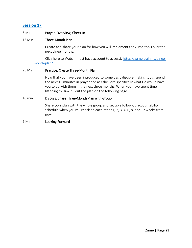#### 5 Min Prayer, Overview, Check-In

#### 15 Min Three-Month Plan

Create and share your plan for how you will implement the Zúme tools over the next three months.

Click here to Watch (must have account to access): [https://zume.training/three](https://zume.training/three-month-plan/)[month-plan/](https://zume.training/three-month-plan/)

#### 25 Min Practice: Create Three-Month Plan

Now that you have been introduced to some basic disciple-making tools, spend the next 15 minutes in prayer and ask the Lord specifically what He would have you to do with them in the next three months. When you have spent time listening to Him, fill out the plan on the following page.

#### 10 min Discuss: Share Three-Month Plan with Group

Share your plan with the whole group and set up a follow-up accountability schedule when you will check on each other 1, 2, 3, 4, 6, 8, and 12 weeks from now.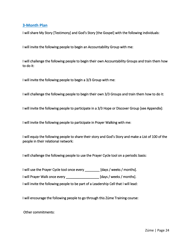#### **3-Month Plan**

I will share My Story [Testimony] and God's Story [the Gospel] with the following individuals:

I will invite the following people to begin an Accountability Group with me:

I will challenge the following people to begin their own Accountability Groups and train them how to do it:

I will invite the following people to begin a 3/3 Group with me:

I will challenge the following people to begin their own 3/3 Groups and train them how to do it:

I will invite the following people to participate in a 3/3 Hope or Discover Group [see Appendix]:

I will invite the following people to participate in Prayer Walking with me:

I will equip the following people to share their story and God's Story and make a List of 100 of the people in their relational network:

I will challenge the following people to use the Prayer Cycle tool on a periodic basis:

I will use the Prayer Cycle tool once every \_\_\_\_\_\_\_\_ [days / weeks / months].

I will Prayer Walk once every \_\_\_\_\_\_\_\_\_\_\_\_\_\_\_\_\_\_\_\_\_ [days / weeks / months].

I will invite the following people to be part of a Leadership Cell that I will lead:

I will encourage the following people to go through this Zúme Training course:

Other commitments: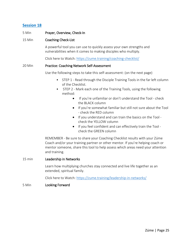#### 5 Min Prayer, Overview, Check-In

#### 15 Min Coaching Check-List

A powerful tool you can use to quickly assess your own strengths and vulnerabilities when it comes to making disciples who multiply.

Click here to Watch:<https://zume.training/coaching-checklist/>

#### 20 Min Practice: Coaching Network Self-Assessment

Use the following steps to take this self-assessment: (on the next page)

- STEP 1 Read through the Disciple Training Tools in the far left column of the Checklist.
- STEP 2 Mark each one of the Training Tools, using the following method:
	- If you're unfamiliar or don't understand the Tool check the BLACK column
	- If you're somewhat familiar but still not sure about the Tool - check the RED column
	- If you understand and can train the basics on the Tool check the YELLOW column
	- If you feel confident and can effectively train the Tool check the GREEN column

REMEMBER - Be sure to share your Coaching Checklist results with your Zúme Coach and/or your training partner or other mentor. If you're helping coach or mentor someone, share this tool to help assess which areas need your attention and training.

#### 15 min Leadership in Networks

Learn how multiplying churches stay connected and live life together as an extended, spiritual family.

Click here to Watch:<https://zume.training/leadership-in-networks/>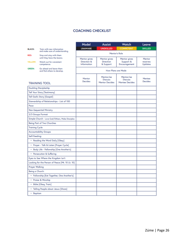#### **COACHING CHECKLIST**

|                                                                         |                                                 | Model                             | <b>Assist</b>                           | Watch                                   | Leave               |  |
|-------------------------------------------------------------------------|-------------------------------------------------|-----------------------------------|-----------------------------------------|-----------------------------------------|---------------------|--|
| <b>BLACK:</b>                                                           | Train with new information                      | <b>UNAWARE</b>                    | <b>UNSKILLED</b>                        | <b>COMPETENT</b>                        | <b>SKILLED</b>      |  |
| and make sure of understanding.<br>RED:<br>Stop and stay with them      |                                                 | Mentor's Role                     |                                         |                                         |                     |  |
|                                                                         | until they have the basics.                     | Mentor gives                      | Mentor gives                            | Mentor gives                            | Mentor              |  |
| YELLOW:                                                                 | Watch out for consistent<br>competence.         | Direction &<br><b>Information</b> | Direction<br>& Support                  | Support &<br>Encouragement              | receives<br>Updates |  |
| <b>GREEN:</b><br>Go ahead and leave them<br>and find others to develop. |                                                 | How Plans are Made                |                                         |                                         |                     |  |
|                                                                         |                                                 | Mentor                            | Mentor/ee                               | Mentor/ee                               | Mentee              |  |
|                                                                         | <b>TRAINING TOOL</b>                            | Decides                           | <b>Discuss</b><br><b>Mentor Decides</b> | <b>Discuss</b><br><b>Mentee Decides</b> | <b>Decides</b>      |  |
|                                                                         | <b>Duckling Discipleship</b>                    |                                   |                                         |                                         |                     |  |
|                                                                         | <b>Tell Your Story [Testimony]</b>              |                                   |                                         |                                         |                     |  |
|                                                                         | Tell God's Story [Gospel]                       |                                   |                                         |                                         |                     |  |
|                                                                         | Stewardship of Relationships - List of 100      |                                   |                                         |                                         |                     |  |
| Pace                                                                    |                                                 |                                   |                                         |                                         |                     |  |
|                                                                         | <b>Non-Sequential Ministry</b>                  |                                   |                                         |                                         |                     |  |
|                                                                         | 3/3 Groups Format                               |                                   |                                         |                                         |                     |  |
|                                                                         | Simple Church - Love God/Others, Make Disciples |                                   |                                         |                                         |                     |  |
|                                                                         | Being Part of Two Churches                      |                                   |                                         |                                         |                     |  |
| <b>Training Cycle</b>                                                   |                                                 |                                   |                                         |                                         |                     |  |
|                                                                         | <b>Accountability Groups</b>                    |                                   |                                         |                                         |                     |  |
| Self-Feeding:                                                           |                                                 |                                   |                                         |                                         |                     |  |
|                                                                         | • Reading the Word Daily [Obey]                 |                                   |                                         |                                         |                     |  |
|                                                                         | · Prayer - Talk & Listen [Prayer Cycle]         |                                   |                                         |                                         |                     |  |
|                                                                         | · Body Life - Fellowship [One Another's]        |                                   |                                         |                                         |                     |  |
|                                                                         | · Persecution & Suffering                       |                                   |                                         |                                         |                     |  |
|                                                                         | Eyes to See Where the Kingdom Isn't             |                                   |                                         |                                         |                     |  |
|                                                                         | Looking for the Person of Peace [Mt. 10 Lk. 10] |                                   |                                         |                                         |                     |  |
| Prayer Walking                                                          |                                                 |                                   |                                         |                                         |                     |  |
| Being a Church:                                                         |                                                 |                                   |                                         |                                         |                     |  |
|                                                                         | · Fellowship [Eat Together, One Another's]      |                                   |                                         |                                         |                     |  |
|                                                                         | · Praise & Worship                              |                                   |                                         |                                         |                     |  |
| · Bible [Obey, Train]                                                   |                                                 |                                   |                                         |                                         |                     |  |
| · Telling People about Jesus [Share]                                    |                                                 |                                   |                                         |                                         |                     |  |
| • Baptism                                                               |                                                 |                                   |                                         |                                         |                     |  |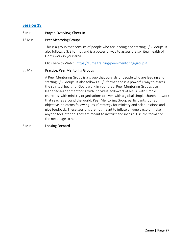#### 5 Min Prayer, Overview, Check-In

#### 15 Min Peer Mentoring Groups

This is a group that consists of people who are leading and starting 3/3 Groups. It also follows a 3/3 format and is a powerful way to assess the spiritual health of God's work in your area.

Click here to Watch:<https://zume.training/peer-mentoring-groups/>

#### 35 Min Practice: Peer Mentoring Groups

A Peer Mentoring Group is a group that consists of people who are leading and starting 3/3 Groups. It also follows a 3/3 format and is a powerful way to assess the spiritual health of God's work in your area. Peer Mentoring Groups use leader-to-leader mentoring with individual followers of Jesus, with simple churches, with ministry organizations or even with a global simple church network that reaches around the world. Peer Mentoring Group participants look at objective indicators following Jesus' strategy for ministry and ask questions and give feedback. These sessions are not meant to inflate anyone's ego or make anyone feel inferior. They are meant to instruct and inspire. Use the format on the next page to help.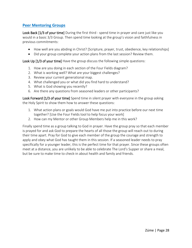## **Peer Mentoring Groups**

Look Back [1/3 of your time] During the first third - spend time in prayer and care just like you would in a basic 3/3 Group. Then spend time looking at the group's vision and faithfulness in previous commitments:

- How well are you abiding in Christ? [Scripture, prayer, trust, obedience, key relationships]
- Did your group complete your action plans from the last session? Review them.

Look Up [1/3 of your time] Have the group discuss the following simple questions:

- 
- 
- 
- 1. How are you doing in each section of the Four Fields diagram?<br>
2. What is working well? What are your biggest challenges?<br>
3. Review your current generational map.<br>
4. What challenged you or what did you find hard to un
- 
- 

Look Forward [1/3 of your time] Spend time in silent prayer with everyone in the group asking the Holy Spirit to show them how to answer these questions:

- 1. What action plans or goals would God have me put into practice before our next time
- together? [Use the Four Fields tool to help focus your work] 2. How can my Mentor or other Group Members help me in this work?

Finally spend time as a group talking to God in prayer. Have the group pray so that each member is prayed for and ask God to prepare the hearts of all those the group will reach out to during their time apart. Pray for God to give each member of the group the courage and strength to apply and obey what God has taught them in this session. If a seasoned leader needs to pray specifically for a younger leader, this is the perfect time for that prayer. Since these groups often meet at a distance, you are unlikely to be able to celebrate The Lord's Supper or share a meal, but be sure to make time to check-in about health and family and friends.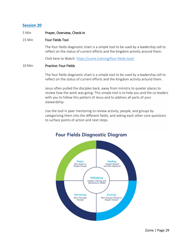#### 5 Min Prayer, Overview, Check-In

#### 15 Min Four Fields Tool

The four fields diagnostic chart is a simple tool to be used by a leadership cell to reflect on the status of current efforts and the kingdom activity around them.

Click here to Watch:<https://zume.training/four-fields-tool/>

#### 10 Min Practice: Four Fields

The four fields diagnostic chart is a simple tool to be used by a leadership cell to reflect on the status of current efforts and the Kingdom activity around them.

Jesus often pulled the disciples back, away from ministry to quieter places to review how the work was going. This simple tool is to help you and the co-leaders with you to follow this pattern of Jesus and to address all parts of your stewardship.

Use the tool in peer mentoring to review activity, people, and groups by categorizing them into the different fields, and asking each other core questions to surface points of action and next steps.



# **Four Fields Diagnostic Diagram**